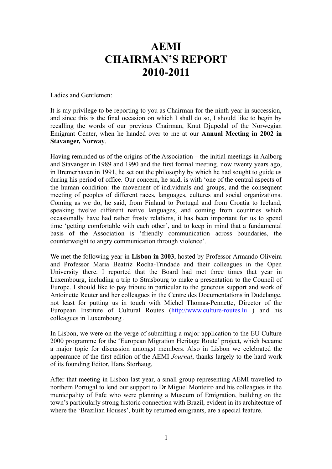## **AEMI CHAIRMAN'S REPORT 2010-2011**

Ladies and Gentlemen:

It is my privilege to be reporting to you as Chairman for the ninth year in succession, and since this is the final occasion on which I shall do so, I should like to begin by recalling the words of our previous Chairman, Knut Djupedal of the Norwegian Emigrant Center, when he handed over to me at our **Annual Meeting in 2002 in Stavanger, Norway**.

Having reminded us of the origins of the Association – the initial meetings in Aalborg and Stavanger in 1989 and 1990 and the first formal meeting, now twenty years ago, in Bremerhaven in 1991, he set out the philosophy by which he had sought to guide us during his period of office. Our concern, he said, is with 'one of the central aspects of the human condition: the movement of individuals and groups, and the consequent meeting of peoples of different races, languages, cultures and social organizations. Coming as we do, he said, from Finland to Portugal and from Croatia to Iceland, speaking twelve different native languages, and coming from countries which occasionally have had rather frosty relations, it has been important for us to spend time 'getting comfortable with each other', and to keep in mind that a fundamental basis of the Association is 'friendly communication across boundaries, the counterweight to angry communication through violence'.

We met the following year in **Lisbon in 2003**, hosted by Professor Armando Oliveira and Professor Maria Beatriz Rocha-Trindade and their colleagues in the Open University there. I reported that the Board had met three times that year in Luxembourg, including a trip to Strasbourg to make a presentation to the Council of Europe. I should like to pay tribute in particular to the generous support and work of Antoinette Reuter and her colleagues in the Centre des Documentations in Dudelange, not least for putting us in touch with Michel Thomas-Pennette, Director of the European Institute of Cultural Routes [\(http://www.culture-routes.lu](http://www.culture-routes.lu/) ) and his colleagues in Luxembourg .

In Lisbon, we were on the verge of submitting a major application to the EU Culture 2000 programme for the 'European Migration Heritage Route' project, which became a major topic for discussion amongst members. Also in Lisbon we celebrated the appearance of the first edition of the AEMI *Journal*, thanks largely to the hard work of its founding Editor, Hans Storhaug.

After that meeting in Lisbon last year, a small group representing AEMI travelled to northern Portugal to lend our support to Dr Miguel Monteiro and his colleagues in the municipality of Fafe who were planning a Museum of Emigration, building on the town's particularly strong historic connection with Brazil, evident in its architecture of where the 'Brazilian Houses', built by returned emigrants, are a special feature.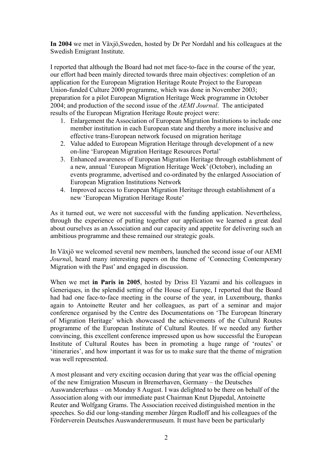**In 2004** we met in Växjö,Sweden, hosted by Dr Per Nordahl and his colleagues at the Swedish Emigrant Institute.

I reported that although the Board had not met face-to-face in the course of the year, our effort had been mainly directed towards three main objectives: completion of an application for the European Migration Heritage Route Project to the European Union-funded Culture 2000 programme, which was done in November 2003; preparation for a pilot European Migration Heritage Week programme in October 2004; and production of the second issue of the *AEMI Journal*. The anticipated results of the European Migration Heritage Route project were:

- 1. Enlargement the Association of European Migration Institutions to include one member institution in each European state and thereby a more inclusive and effective trans-European network focused on migration heritage
- 2. Value added to European Migration Heritage through development of a new on-line 'European Migration Heritage Resources Portal'
- 3. Enhanced awareness of European Migration Heritage through establishment of a new, annual 'European Migration Heritage Week' (October), including an events programme, advertised and co-ordinated by the enlarged Association of European Migration Institutions Network
- 4. Improved access to European Migration Heritage through establishment of a new 'European Migration Heritage Route'

As it turned out, we were not successful with the funding application. Nevertheless, through the experience of putting together our application we learned a great deal about ourselves as an Association and our capacity and appetite for delivering such an ambitious programme and these remained our strategic goals.

In Växjö we welcomed several new members, launched the second issue of our AEMI *Journal*, heard many interesting papers on the theme of 'Connecting Contemporary Migration with the Past' and engaged in discussion.

When we met **in Paris in 2005**, hosted by Driss El Yazami and his colleagues in Generiques, in the splendid setting of the House of Europe. I reported that the Board had had one face-to-face meeting in the course of the year, in Luxembourg, thanks again to Antoinette Reuter and her colleagues, as part of a seminar and major conference organised by the Centre des Documentations on 'The European Itinerary of Migration Heritage' which showcased the achievements of the Cultural Routes programme of the European Institute of Cultural Routes. If we needed any further convincing, this excellent conference impressed upon us how successful the European Institute of Cultural Routes has been in promoting a huge range of 'routes' or 'itineraries', and how important it was for us to make sure that the theme of migration was well represented.

A most pleasant and very exciting occasion during that year was the official opening of the new Emigration Museum in Bremerhaven, Germany – the Deutsches Auswandererhaus – on Monday 8 August. I was delighted to be there on behalf of the Association along with our immediate past Chairman Knut Djupedal, Antoinette Reuter and Wolfgang Grams. The Association received distinguished mention in the speeches. So did our long-standing member Jürgen Rudloff and his colleagues of the Förderverein Deutsches Auswanderermuseum. It must have been be particularly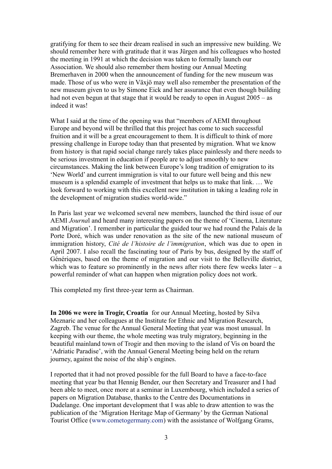gratifying for them to see their dream realised in such an impressive new building. We should remember here with gratitude that it was Jürgen and his colleagues who hosted the meeting in 1991 at which the decision was taken to formally launch our Association. We should also remember them hosting our Annual Meeting Bremerhaven in 2000 when the announcement of funding for the new museum was made. Those of us who were in Växjö may well also remember the presentation of the new museum given to us by Simone Eick and her assurance that even though building had not even begun at that stage that it would be ready to open in August 2005 – as indeed it was!

What I said at the time of the opening was that "members of AEMI throughout Europe and beyond will be thrilled that this project has come to such successful fruition and it will be a great encouragement to them. It is difficult to think of more pressing challenge in Europe today than that presented by migration. What we know from history is that rapid social change rarely takes place painlessly and there needs to be serious investment in education if people are to adjust smoothly to new circumstances. Making the link between Europe's long tradition of emigration to its 'New World' and current immigration is vital to our future well being and this new museum is a splendid example of investment that helps us to make that link. … We look forward to working with this excellent new institution in taking a leading role in the development of migration studies world-wide."

In Paris last year we welcomed several new members, launched the third issue of our AEMI *Journa*l and heard many interesting papers on the theme of 'Cinema, Literature and Migration'. I remember in particular the guided tour we had round the Palais de la Porte Doré, which was under renovation as the site of the new national museum of immigration history, *Cité de l'histoire de l'immigration*, which was due to open in April 2007. I also recall the fascinating tour of Paris by bus, designed by the staff of Génériques, based on the theme of migration and our visit to the Belleville district, which was to feature so prominently in the news after riots there few weeks later – a powerful reminder of what can happen when migration policy does not work.

This completed my first three-year term as Chairman.

**In 2006 we were in Trogir, Croatia** for our Annual Meeting, hosted by Silva Meznaric and her colleagues at the Institute for Ethnic and Migration Research, Zagreb. The venue for the Annual General Meeting that year was most unusual. In keeping with our theme, the whole meeting was truly migratory, beginning in the beautiful mainland town of Trogir and then moving to the island of Vis on board the 'Adriatic Paradise', with the Annual General Meeting being held on the return journey, against the noise of the ship's engines.

I reported that it had not proved possible for the full Board to have a face-to-face meeting that year bu that Hennig Bender, our then Secretary and Treasurer and I had been able to meet, once more at a seminar in Luxembourg, which included a series of papers on Migration Database, thanks to the Centre des Documentations in Dudelange. One important development that I was able to draw attention to was the publication of the 'Migration Heritage Map of Germany' by the German National Tourist Office [\(www.cometogermany.com\)](http://www.cometogermany.com/) with the assistance of Wolfgang Grams,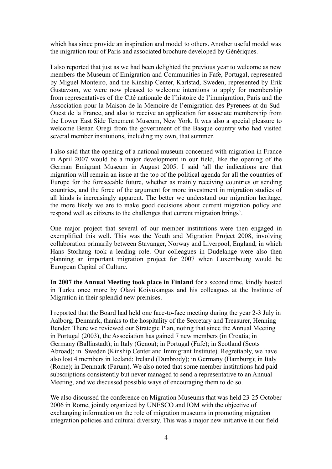which has since provide an inspiration and model to others. Another useful model was the migration tour of Paris and associated brochure developed by Génériques.

I also reported that just as we had been delighted the previous year to welcome as new members the Museum of Emigration and Communities in Fafe, Portugal, represented by Miguel Monteiro, and the Kinship Center, Karlstad, Sweden, represented by Erik Gustavson, we were now pleased to welcome intentions to apply for membership from representatives of the Cité nationale de l'histoire de l'immigration, Paris and the Association pour la Maison de la Memoire de l'emigration des Pyrenees at du Sud-Ouest de la France, and also to receive an application for associate membership from the Lower East Side Tenement Museum, New York. It was also a special pleasure to welcome Benan Oregi from the government of the Basque country who had visited several member institutions, including my own, that summer.

I also said that the opening of a national museum concerned with migration in France in April 2007 would be a major development in our field, like the opening of the German Emigrant Museum in August 2005. I said 'all the indications are that migration will remain an issue at the top of the political agenda for all the countries of Europe for the foreseeable future, whether as mainly receiving countries or sending countries, and the force of the argument for more investment in migration studies of all kinds is increasingly apparent. The better we understand our migration heritage, the more likely we are to make good decisions about current migration policy and respond well as citizens to the challenges that current migration brings'.

One major project that several of our member institutions were then engaged in exemplified this well. This was the Youth and Migration Project 2008, involving collaboration primarily between Stavanger, Norway and Liverpool, England, in which Hans Storhaug took a leading role. Our colleagues in Dudelange were also then planning an important migration project for 2007 when Luxembourg would be European Capital of Culture.

**In 2007 the Annual Meeting took place in Finland** for a second time, kindly hosted in Turku once more by Olavi Koivukangas and his colleagues at the Institute of Migration in their splendid new premises.

I reported that the Board had held one face-to-face meeting during the year 2-3 July in Aalborg, Denmark, thanks to the hospitality of the Secretary and Treasurer, Henning Bender. There we reviewed our Strategic Plan, noting that since the Annual Meeting in Portugal (2003), the Association has gained 7 new members (in Croatia; in Germany (Ballinstadt); in Italy (Genoa); in Portugal (Fafe); in Scotland (Scots Abroad); in Sweden (Kinship Center and Immigrant Institute). Regrettably, we have also lost 4 members in Iceland; Ireland (Dunbrody); in Germany (Hamburg); in Italy (Rome); in Denmark (Farum). We also noted that some member institutions had paid subscriptions consistently but never managed to send a representative to an Annual Meeting, and we discussed possible ways of encouraging them to do so.

We also discussed the conference on Migration Museums that was held 23-25 October 2006 in Rome, jointly organized by UNESCO and IOM with the objective of exchanging information on the role of migration museums in promoting migration integration policies and cultural diversity. This was a major new initiative in our field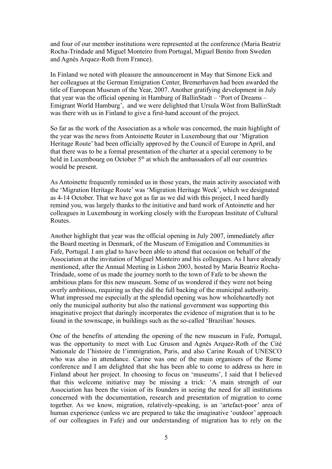and four of our member institutions were represented at the conference (Maria Beatriz Rocha-Trindade and Miguel Monteiro from Portugal, Miguel Benito from Sweden and Agnès Arquez-Roth from France).

In Finland we noted with pleasure the announcement in May that Simone Eick and her colleagues at the German Emigration Center, Bremerhaven had been awarded the title of European Museum of the Year, 2007. Another gratifying development in July that year was the official opening in Hamburg of BallinStadt – 'Port of Dreams – Emigrant World Hamburg', and we were delighted that Ursula Wöst from BallinStadt was there with us in Finland to give a first-hand account of the project.

So far as the work of the Association as a whole was concerned, the main highlight of the year was the news from Antoinette Reuter in Luxembourg that our 'Migration Heritage Route' had been officially approved by the Council of Europe in April, and that there was to be a formal presentation of the charter at a special ceremony to be held in Luxembourg on October 5<sup>th</sup> at which the ambassadors of all our countries would be present.

As Antoinette frequently reminded us in those years, the main activity associated with the 'Migration Heritage Route' was 'Migration Heritage Week', which we designated as 4-14 October. That we have got as far as we did with this project, I need hardly remind you, was largely thanks to the initiative and hard work of Antoinette and her colleagues in Luxembourg in working closely with the European Institute of Cultural Routes.

Another highlight that year was the official opening in July 2007, immediately after the Board meeting in Denmark, of the Museum of Emigation and Communities in Fafe, Portugal. I am glad to have been able to attend that occasion on behalf of the Association at the invitation of Miguel Monteiro and his colleagues. As I have already mentioned, after the Annual Meeting in Lisbon 2003, hosted by Maria Beatriz Rocha-Trindade, some of us made the journey north to the town of Fafe to be shown the ambitious plans for this new museum. Some of us wondered if they were not being overly ambitious, requiring as they did the full backing of the municipal authority. What impressed me especially at the splendid opening was how wholeheartedly not only the municipal authority but also the national government was supporting this imaginative project that daringly incorporates the evidence of migration that is to be found in the townscape, in buildings such as the so-called 'Brazilian' houses.

One of the benefits of attending the opening of the new museum in Fafe, Portugal, was the opportunity to meet with Luc Gruson and Agnès Arquez-Roth of the Cité Nationale de l'histoire de l'immigration, Paris, and also Carine Rouah of UNESCO who was also in attendance. Carine was one of the main organisers of the Rome conference and I am delighted that she has been able to come to address us here in Finland about her project. In choosing to focus on 'museums', I said that I believed that this welcome initiative may be missing a trick: 'A main strength of our Association has been the vision of its founders in seeing the need for all institutions concerned with the documentation, research and presentation of migration to come together. As we know, migration, relatively-speaking, is an 'artefact-poor' area of human experience (unless we are prepared to take the imaginative 'outdoor' approach of our colleagues in Fafe) and our understanding of migration has to rely on the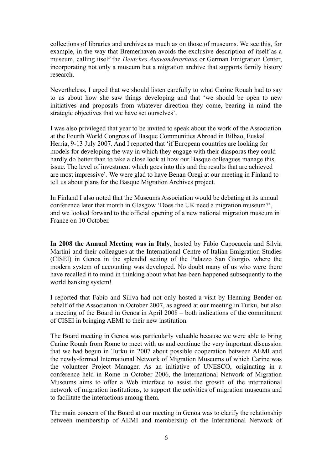collections of libraries and archives as much as on those of museums. We see this, for example, in the way that Bremerhaven avoids the exclusive description of itself as a museum, calling itself the *Deutches Auswandererhaus* or German Emigration Center, incorporating not only a museum but a migration archive that supports family history research.

Nevertheless, I urged that we should listen carefully to what Carine Rouah had to say to us about how she saw things developing and that 'we should be open to new initiatives and proposals from whatever direction they come, bearing in mind the strategic objectives that we have set ourselves'.

I was also privileged that year to be invited to speak about the work of the Association at the Fourth World Congress of Basque Communities Abroad in Bilbao, Euskal Herria, 9-13 July 2007. And I reported that 'if European countries are looking for models for developing the way in which they engage with their diasporas they could hardly do better than to take a close look at how our Basque colleagues manage this issue. The level of investment which goes into this and the results that are achieved are most impressive'. We were glad to have Benan Oregi at our meeting in Finland to tell us about plans for the Basque Migration Archives project.

In Finland I also noted that the Museums Association would be debating at its annual conference later that month in Glasgow 'Does the UK need a migration museum?', and we looked forward to the official opening of a new national migration museum in France on 10 October.

**In 2008 the Annual Meeting was in Italy**, hosted by Fabio Capocaccia and Silvia Martini and their colleagues at the International Centre of Italian Emigration Studies (CISEI) in Genoa in the splendid setting of the Palazzo San Giorgio, where the modern system of accounting was developed. No doubt many of us who were there have recalled it to mind in thinking about what has been happened subsequently to the world banking system!

I reported that Fabio and Siliva had not only hosted a visit by Henning Bender on behalf of the Association in October 2007, as agreed at our meeting in Turku, but also a meeting of the Board in Genoa in April 2008 – both indications of the commitment of CISEI in bringing AEMI to their new institution.

The Board meeting in Genoa was particularly valuable because we were able to bring Carine Rouah from Rome to meet with us and continue the very important discussion that we had begun in Turku in 2007 about possible cooperation between AEMI and the newly-formed International Network of Migration Museums of which Carine was the volunteer Project Manager. As an initiative of UNESCO, originating in a conference held in Rome in October 2006, the International Network of Migration Museums aims to offer a Web interface to assist the growth of the international network of migration institutions, to support the activities of migration museums and to facilitate the interactions among them.

The main concern of the Board at our meeting in Genoa was to clarify the relationship between membership of AEMI and membership of the International Network of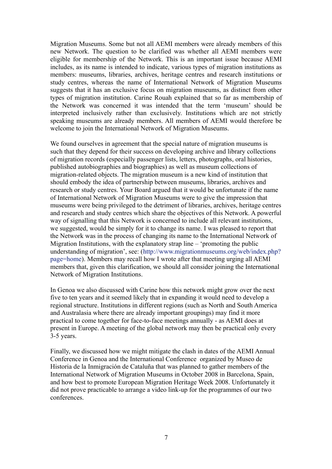Migration Museums. Some but not all AEMI members were already members of this new Network. The question to be clarified was whether all AEMI members were eligible for membership of the Network. This is an important issue because AEMI includes, as its name is intended to indicate, various types of migration institutions as members: museums, libraries, archives, heritage centres and research institutions or study centres, whereas the name of International Network of Migration Museums suggests that it has an exclusive focus on migration museums, as distinct from other types of migration institution. Carine Rouah explained that so far as membership of the Network was concerned it was intended that the term 'museum' should be interpreted inclusively rather than exclusively. Institutions which are not strictly speaking museums are already members. All members of AEMI would therefore be welcome to join the International Network of Migration Museums.

We found ourselves in agreement that the special nature of migration museums is such that they depend for their success on developing archive and library collections of migration records (especially passenger lists, letters, photographs, oral histories, published autobiographies and biographies) as well as museum collections of migration-related objects. The migration museum is a new kind of institution that should embody the idea of partnership between museums, libraries, archives and research or study centres. Your Board argued that it would be unfortunate if the name of International Network of Migration Museums were to give the impression that museums were being privileged to the detriment of libraries, archives, heritage centres and research and study centres which share the objectives of this Network. A powerful way of signalling that this Network is concerned to include all relevant institutions, we suggested, would be simply for it to change its name. I was pleased to report that the Network was in the process of changing its name to the International Network of Migration Institutions, with the explanatory strap line – 'promoting the public understanding of migration', see: [\(http://www.migrationmuseums.org/web/index.php?](http://www.migrationmuseums.org/web/index.php?page=home) [page=home\)](http://www.migrationmuseums.org/web/index.php?page=home). Members may recall how I wrote after that meeting urging all AEMI members that, given this clarification, we should all consider joining the International Network of Migration Institutions.

In Genoa we also discussed with Carine how this network might grow over the next five to ten years and it seemed likely that in expanding it would need to develop a regional structure. Institutions in different regions (such as North and South America and Australasia where there are already important groupings) may find it more practical to come together for face-to-face meetings annually - as AEMI does at present in Europe. A meeting of the global network may then be practical only every 3-5 years.

Finally, we discussed how we might mitigate the clash in dates of the AEMI Annual Conference in Genoa and the International Conference organized by Museo de Historia de la Inmigración de Cataluña that was planned to gather members of the International Network of Migration Museums in October 2008 in Barcelona, Spain, and how best to promote European Migration Heritage Week 2008. Unfortunately it did not prove practicable to arrange a video link-up for the programmes of our two conferences.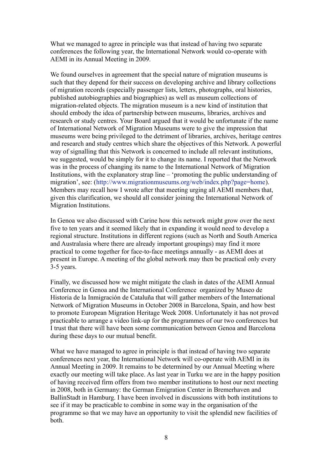What we managed to agree in principle was that instead of having two separate conferences the following year, the International Network would co-operate with AEMI in its Annual Meeting in 2009.

We found ourselves in agreement that the special nature of migration museums is such that they depend for their success on developing archive and library collections of migration records (especially passenger lists, letters, photographs, oral histories, published autobiographies and biographies) as well as museum collections of migration-related objects. The migration museum is a new kind of institution that should embody the idea of partnership between museums, libraries, archives and research or study centres. Your Board argued that it would be unfortunate if the name of International Network of Migration Museums were to give the impression that museums were being privileged to the detriment of libraries, archives, heritage centres and research and study centres which share the objectives of this Network. A powerful way of signalling that this Network is concerned to include all relevant institutions, we suggested, would be simply for it to change its name. I reported that the Network was in the process of changing its name to the International Network of Migration Institutions, with the explanatory strap line – 'promoting the public understanding of migration', see: [\(http://www.migrationmuseums.org/web/index.php?page=home\)](http://www.migrationmuseums.org/web/index.php?page=home). Members may recall how I wrote after that meeting urging all AEMI members that, given this clarification, we should all consider joining the International Network of Migration Institutions.

In Genoa we also discussed with Carine how this network might grow over the next five to ten years and it seemed likely that in expanding it would need to develop a regional structure. Institutions in different regions (such as North and South America and Australasia where there are already important groupings) may find it more practical to come together for face-to-face meetings annually - as AEMI does at present in Europe. A meeting of the global network may then be practical only every 3-5 years.

Finally, we discussed how we might mitigate the clash in dates of the AEMI Annual Conference in Genoa and the International Conference organized by Museo de Historia de la Inmigración de Cataluña that will gather members of the International Network of Migration Museums in October 2008 in Barcelona, Spain, and how best to promote European Migration Heritage Week 2008. Unfortunately it has not proved practicable to arrange a video link-up for the programmes of our two conferences but I trust that there will have been some communication between Genoa and Barcelona during these days to our mutual benefit.

What we have managed to agree in principle is that instead of having two separate conferences next year, the International Network will co-operate with AEMI in its Annual Meeting in 2009. It remains to be determined by our Annual Meeting where exactly our meeting will take place. As last year in Turku we are in the happy position of having received firm offers from two member institutions to host our next meeting in 2008, both in Germany: the German Emigration Center in Bremerhaven and BallinStadt in Hamburg. I have been involved in discussions with both institutions to see if it may be practicable to combine in some way in the organisation of the programme so that we may have an opportunity to visit the splendid new facilities of both.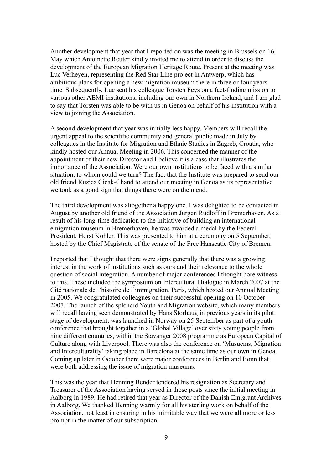Another development that year that I reported on was the meeting in Brussels on 16 May which Antoinette Reuter kindly invited me to attend in order to discuss the development of the European Migration Heritage Route. Present at the meeting was Luc Verheyen, representing the Red Star Line project in Antwerp, which has ambitious plans for opening a new migration museum there in three or four years time. Subsequently, Luc sent his colleague Torsten Feys on a fact-finding mission to various other AEMI institutions, including our own in Northern Ireland, and I am glad to say that Torsten was able to be with us in Genoa on behalf of his institution with a view to joining the Association.

A second development that year was initially less happy. Members will recall the urgent appeal to the scientific community and general public made in July by colleagues in the Institute for Migration and Ethnic Studies in Zagreb, Croatia, who kindly hosted our Annual Meeting in 2006. This concerned the manner of the appointment of their new Director and I believe it is a case that illustrates the importance of the Association. Were our own institutions to be faced with a similar situation, to whom could we turn? The fact that the Institute was prepared to send our old friend Ruzica Cicak-Chand to attend our meeting in Genoa as its representative we took as a good sign that things there were on the mend.

The third development was altogether a happy one. I was delighted to be contacted in August by another old friend of the Association Jürgen Rudloff in Bremerhaven. As a result of his long-time dedication to the initiative of building an international emigration museum in Bremerhaven, he was awarded a medal by the Federal President, Horst Köhler. This was presented to him at a ceremony on 5 September, hosted by the Chief Magistrate of the senate of the Free Hanseatic City of Bremen.

I reported that I thought that there were signs generally that there was a growing interest in the work of institutions such as ours and their relevance to the whole question of social integration. A number of major conferences I thought bore witness to this. These included the symposium on Intercultural Dialogue in March 2007 at the Cité nationale de l'histoire de l'immigration, Paris, which hosted our Annual Meeting in 2005. We congratulated colleagues on their successful opening on 10 October 2007. The launch of the splendid Youth and Migration website, which many members will recall having seen demonstrated by Hans Storhaug in previous years in its pilot stage of development, was launched in Norway on 25 September as part of a youth conference that brought together in a 'Global Village' over sixty young people from nine different countries, within the Stavanger 2008 programme as European Capital of Culture along with Liverpool. There was also the conference on 'Musuems, Migration and Interculturality' taking place in Barcelona at the same time as our own in Genoa. Coming up later in October there were major conferences in Berlin and Bonn that were both addressing the issue of migration museums.

This was the year that Henning Bender tendered his resignation as Secretary and Treasurer of the Association having served in those posts since the initial meeting in Aalborg in 1989. He had retired that year as Director of the Danish Emigrant Archives in Aalborg. We thanked Henning warmly for all his sterling work on behalf of the Association, not least in ensuring in his inimitable way that we were all more or less prompt in the matter of our subscription.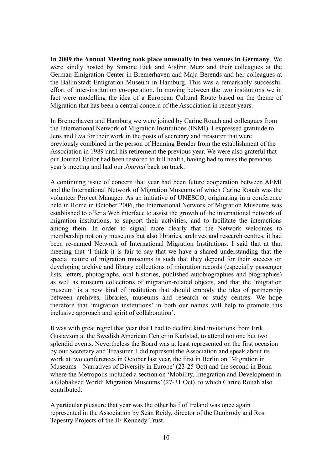**In 2009 the Annual Meeting took place unusually in two venues in Germany**. We were kindly hosted by Simone Eick and Aislinn Merz and their colleagues at the German Emigration Center in Bremerhaven and Maja Berends and her colleagues at the BallinStadt Emigration Museum in Hamburg. This was a remarkably successful effort of inter-institution co-operation. In moving between the two institutions we in fact were modelling the idea of a European Cultural Route based on the theme of Migration that has been a central concern of the Association in recent years.

In Bremerhaven and Hamburg we were joined by Carine Rouah and colleagues from the International Network of Migration Institutions (INMI). I expressed gratitude to Jens and Eva for their work in the posts of secretary and treasurer that were previously combined in the person of Henning Bender from the establishment of the Association in 1989 until his retirement the previous year. We were also grateful that our Journal Editor had been restored to full health, having had to miss the previous year's meeting and had our *Journal* back on track.

A continuing issue of concern that year had been future cooperation between AEMI and the International Network of Migration Museums of which Carine Rouah was the volunteer Project Manager. As an initiative of UNESCO, originating in a conference held in Rome in October 2006, the International Network of Migration Museums was established to offer a Web interface to assist the growth of the international network of migration institutions, to support their activities, and to facilitate the interactions among them. In order to signal more clearly that the Network welcomes to membership not only museums but also libraries, archives and research centres, it had been re-named Network of International Migration Institutions. I said that at that meeting that 'I think it is fair to say that we have a shared understanding that the special nature of migration museums is such that they depend for their success on developing archive and library collections of migration records (especially passenger lists, letters, photographs, oral histories, published autobiographies and biographies) as well as museum collections of migration-related objects, and that the 'migration museum' is a new kind of institution that should embody the idea of partnership between archives, libraries, museums and research or study centres. We hope therefore that 'migration institutions' in both our names will help to promote this inclusive approach and spirit of collaboration'.

It was with great regret that year that I had to decline kind invitations from Erik Gustavson at the Swedish American Center in Karlstad, to attend not one but two splendid events. Nevertheless the Board was at least represented on the first occasion by our Secretary and Treasurer. I did represent the Association and speak about its work at two conferences in October last year, the first in Berlin on 'Migration in Museums – Narratives of Diversity in Europe' (23-25 Oct) and the second in Bonn where the Metropolis included a section on 'Mobility, Integration and Development in a Globalised World: Migration Museums' (27-31 Oct), to which Carine Rouah also contributed.

A particular pleasure that year was the other half of Ireland was once again represented in the Association by Seán Reidy, director of the Dunbrody and Ros Tapestry Projects of the JF Kennedy Trust.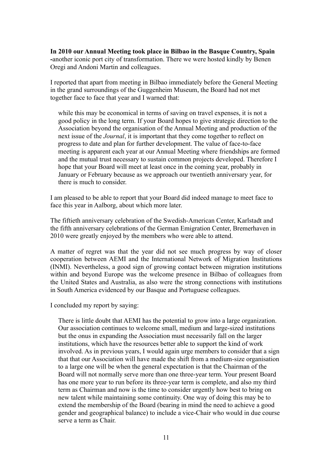**In 2010 our Annual Meeting took place in Bilbao in the Basque Country, Spain -**another iconic port city of transformation. There we were hosted kindly by Benen Oregi and Andoni Martin and colleagues.

I reported that apart from meeting in Bilbao immediately before the General Meeting in the grand surroundings of the Guggenheim Museum, the Board had not met together face to face that year and I warned that:

while this may be economical in terms of saving on travel expenses, it is not a good policy in the long term. If your Board hopes to give strategic direction to the Association beyond the organisation of the Annual Meeting and production of the next issue of the *Journal*, it is important that they come together to reflect on progress to date and plan for further development. The value of face-to-face meeting is apparent each year at our Annual Meeting where friendships are formed and the mutual trust necessary to sustain common projects developed. Therefore I hope that your Board will meet at least once in the coming year, probably in January or February because as we approach our twentieth anniversary year, for there is much to consider.

I am pleased to be able to report that your Board did indeed manage to meet face to face this year in Aalborg, about which more later.

The fiftieth anniversary celebration of the Swedish-American Center, Karlstadt and the fifth anniversary celebrations of the German Emigration Center, Bremerhaven in 2010 were greatly enjoyed by the members who were able to attend.

A matter of regret was that the year did not see much progress by way of closer cooperation between AEMI and the International Network of Migration Institutions (INMI). Nevertheless, a good sign of growing contact between migration institutions within and beyond Europe was the welcome presence in Bilbao of colleagues from the United States and Australia, as also were the strong connections with institutions in South America evidenced by our Basque and Portuguese colleagues.

I concluded my report by saying:

There is little doubt that AEMI has the potential to grow into a large organization. Our association continues to welcome small, medium and large-sized institutions but the onus in expanding the Association must necessarily fall on the larger institutions, which have the resources better able to support the kind of work involved. As in previous years, I would again urge members to consider that a sign that that our Association will have made the shift from a medium-size organisation to a large one will be when the general expectation is that the Chairman of the Board will not normally serve more than one three-year term. Your present Board has one more year to run before its three-year term is complete, and also my third term as Chairman and now is the time to consider urgently how best to bring on new talent while maintaining some continuity. One way of doing this may be to extend the membership of the Board (bearing in mind the need to achieve a good gender and geographical balance) to include a vice-Chair who would in due course serve a term as Chair.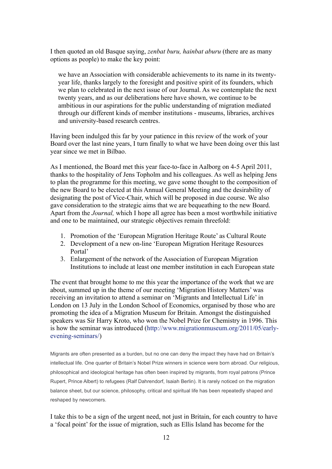I then quoted an old Basque saying, *zenbat buru, hainbat aburu* (there are as many options as people) to make the key point:

we have an Association with considerable achievements to its name in its twentyyear life, thanks largely to the foresight and positive spirit of its founders, which we plan to celebrated in the next issue of our Journal. As we contemplate the next twenty years, and as our deliberations here have shown, we continue to be ambitious in our aspirations for the public understanding of migration mediated through our different kinds of member institutions - museums, libraries, archives and university-based research centres.

Having been indulged this far by your patience in this review of the work of your Board over the last nine years, I turn finally to what we have been doing over this last year since we met in Bilbao.

As I mentioned, the Board met this year face-to-face in Aalborg on 4-5 April 2011, thanks to the hospitality of Jens Topholm and his colleagues. As well as helping Jens to plan the programme for this meeting, we gave some thought to the composition of the new Board to be elected at this Annual General Meeting and the desirability of designating the post of Vice-Chair, which will be proposed in due course. We also gave consideration to the strategic aims that we are bequeathing to the new Board. Apart from the *Journal,* which I hope all agree has been a most worthwhile initiative and one to be maintained, our strategic objectives remain threefold:

- 1. Promotion of the 'European Migration Heritage Route' as Cultural Route
- 2. Development of a new on-line 'European Migration Heritage Resources Portal'
- 3. Enlargement of the network of the Association of European Migration Institutions to include at least one member institution in each European state

The event that brought home to me this year the importance of the work that we are about, summed up in the theme of our meeting 'Migration History Matters' was receiving an invitation to attend a seminar on 'Migrants and Intellectual Life' in London on 13 July in the London School of Economics, organised by those who are promoting the idea of a Migration Museum for Britain. Amongst the distinguished speakers was Sir Harry Kroto, who won the Nobel Prize for Chemistry in 1996. This is how the seminar was introduced [\(http://www.migrationmuseum.org/2011/05/early](http://www.migrationmuseum.org/2011/05/early-evening-seminars/)[evening-seminars/\)](http://www.migrationmuseum.org/2011/05/early-evening-seminars/)

Migrants are often presented as a burden, but no one can deny the impact they have had on Britain's intellectual life. One quarter of Britain's Nobel Prize winners in science were born abroad. Our religious, philosophical and ideological heritage has often been inspired by migrants, from royal patrons (Prince Rupert, Prince Albert) to refugees (Ralf Dahrendorf, Isaiah Berlin). It is rarely noticed on the migration balance sheet, but our science, philosophy, critical and spiritual life has been repeatedly shaped and reshaped by newcomers.

I take this to be a sign of the urgent need, not just in Britain, for each country to have a 'focal point' for the issue of migration, such as Ellis Island has become for the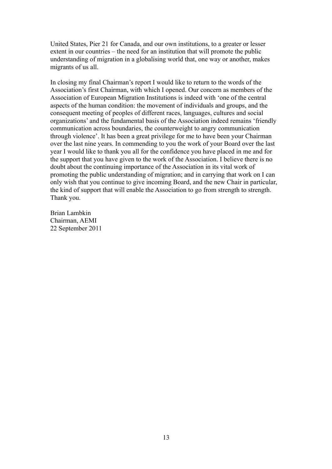United States, Pier 21 for Canada, and our own institutions, to a greater or lesser extent in our countries – the need for an institution that will promote the public understanding of migration in a globalising world that, one way or another, makes migrants of us all.

In closing my final Chairman's report I would like to return to the words of the Association's first Chairman, with which I opened. Our concern as members of the Association of European Migration Institutions is indeed with 'one of the central aspects of the human condition: the movement of individuals and groups, and the consequent meeting of peoples of different races, languages, cultures and social organizations' and the fundamental basis of the Association indeed remains 'friendly communication across boundaries, the counterweight to angry communication through violence'. It has been a great privilege for me to have been your Chairman over the last nine years. In commending to you the work of your Board over the last year I would like to thank you all for the confidence you have placed in me and for the support that you have given to the work of the Association. I believe there is no doubt about the continuing importance of the Association in its vital work of promoting the public understanding of migration; and in carrying that work on I can only wish that you continue to give incoming Board, and the new Chair in particular, the kind of support that will enable the Association to go from strength to strength. Thank you.

Brian Lambkin Chairman, AEMI 22 September 2011